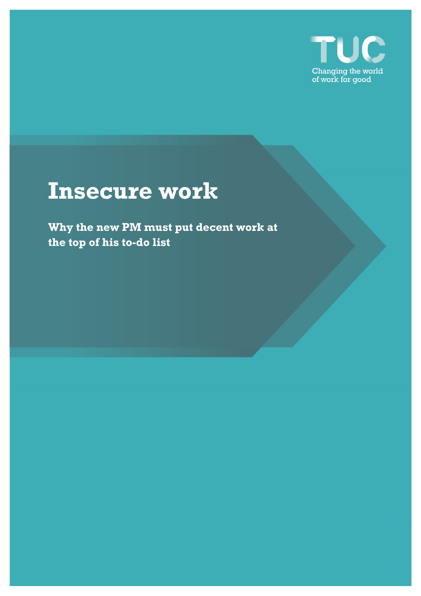

# **Insecure work**

**Why the new PM must put decent work at the top of his to-do list**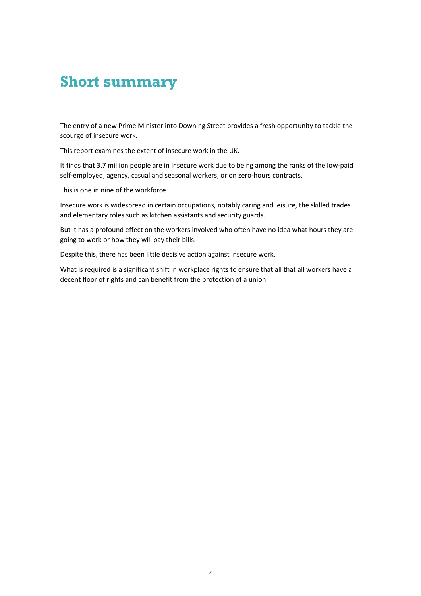# **Short summary**

The entry of a new Prime Minister into Downing Street provides a fresh opportunity to tackle the scourge of insecure work.

This report examines the extent of insecure work in the UK.

It finds that 3.7 million people are in insecure work due to being among the ranks of the low-paid self-employed, agency, casual and seasonal workers, or on zero-hours contracts.

This is one in nine of the workforce.

Insecure work is widespread in certain occupations, notably caring and leisure, the skilled trades and elementary roles such as kitchen assistants and security guards.

But it has a profound effect on the workers involved who often have no idea what hours they are going to work or how they will pay their bills.

Despite this, there has been little decisive action against insecure work.

What is required is a significant shift in workplace rights to ensure that all that all workers have a decent floor of rights and can benefit from the protection of a union.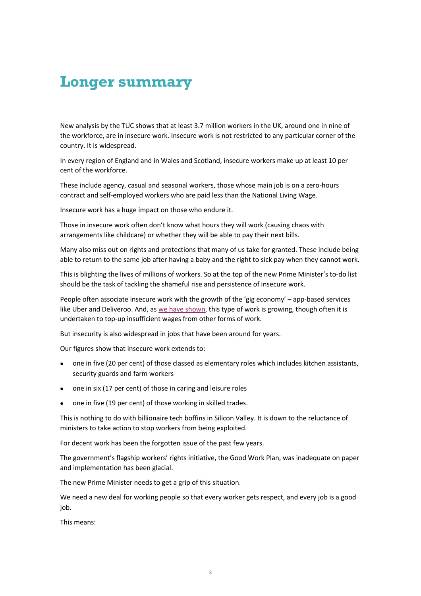# **Longer summary**

New analysis by the TUC shows that at least 3.7 million workers in the UK, around one in nine of the workforce, are in insecure work. Insecure work is not restricted to any particular corner of the country. It is widespread.

In every region of England and in Wales and Scotland, insecure workers make up at least 10 per cent of the workforce.

These include agency, casual and seasonal workers, those whose main job is on a zero-hours contract and self-employed workers who are paid less than the National Living Wage.

Insecure work has a huge impact on those who endure it.

Those in insecure work often don't know what hours they will work (causing chaos with arrangements like childcare) or whether they will be able to pay their next bills.

Many also miss out on rights and protections that many of us take for granted. These include being able to return to the same job after having a baby and the right to sick pay when they cannot work.

This is blighting the lives of millions of workers. So at the top of the new Prime Minister's to-do list should be the task of tackling the shameful rise and persistence of insecure work.

People often associate insecure work with the growth of the 'gig economy' – app-based services like Uber and Deliveroo. And, as we have shown, this type of work is growing, though often it is undertaken to top-up insufficient wages from other forms of work.

But insecurity is also widespread in jobs that have been around for years.

Our figures show that insecure work extends to:

- one in five (20 per cent) of those classed as elementary roles which includes kitchen assistants, security guards and farm workers
- one in six (17 per cent) of those in caring and leisure roles
- one in five (19 per cent) of those working in skilled trades.

This is nothing to do with billionaire tech boffins in Silicon Valley. It is down to the reluctance of ministers to take action to stop workers from being exploited.

For decent work has been the forgotten issue of the past few years.

The government's flagship workers' rights initiative, the Good Work Plan, was inadequate on paper and implementation has been glacial.

The new Prime Minister needs to get a grip of this situation.

We need a new deal for working people so that every worker gets respect, and every job is a good job.

This means: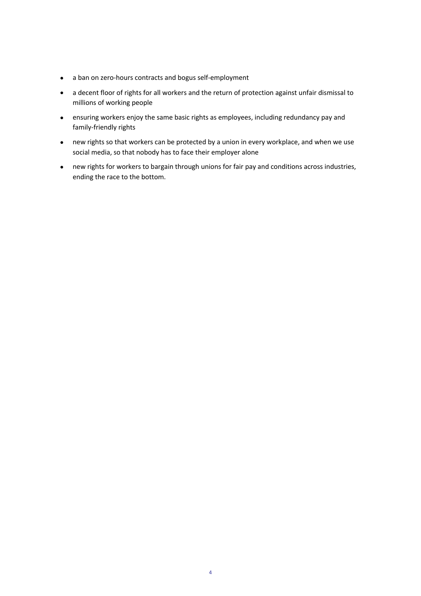- a ban on zero-hours contracts and bogus self-employment
- a decent floor of rights for all workers and the return of protection against unfair dismissal to millions of working people
- ensuring workers enjoy the same basic rights as employees, including redundancy pay and family-friendly rights
- new rights so that workers can be protected by a union in every workplace, and when we use social media, so that nobody has to face their employer alone
- new rights for workers to bargain through unions for fair pay and conditions across industries, ending the race to the bottom.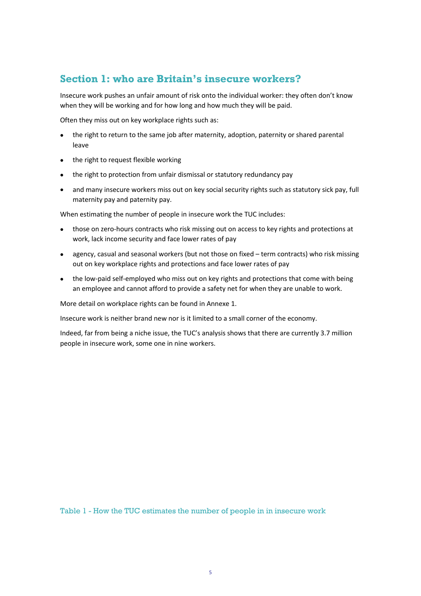# **Section 1: who are Britain's insecure workers?**

Insecure work pushes an unfair amount of risk onto the individual worker: they often don't know when they will be working and for how long and how much they will be paid.

Often they miss out on key workplace rights such as:

- the right to return to the same job after maternity, adoption, paternity or shared parental leave
- the right to request flexible working
- the right to protection from unfair dismissal or statutory redundancy pay
- and many insecure workers miss out on key social security rights such as statutory sick pay, full maternity pay and paternity pay.

When estimating the number of people in insecure work the TUC includes:

- those on zero-hours contracts who risk missing out on access to key rights and protections at work, lack income security and face lower rates of pay
- agency, casual and seasonal workers (but not those on fixed term contracts) who risk missing out on key workplace rights and protections and face lower rates of pay
- the low-paid self-employed who miss out on key rights and protections that come with being an employee and cannot afford to provide a safety net for when they are unable to work.

More detail on workplace rights can be found in Annexe 1.

Insecure work is neither brand new nor is it limited to a small corner of the economy.

Indeed, far from being a niche issue, the TUC's analysis shows that there are currently 3.7 million people in insecure work, some one in nine workers.

Table 1 - How the TUC estimates the number of people in in insecure work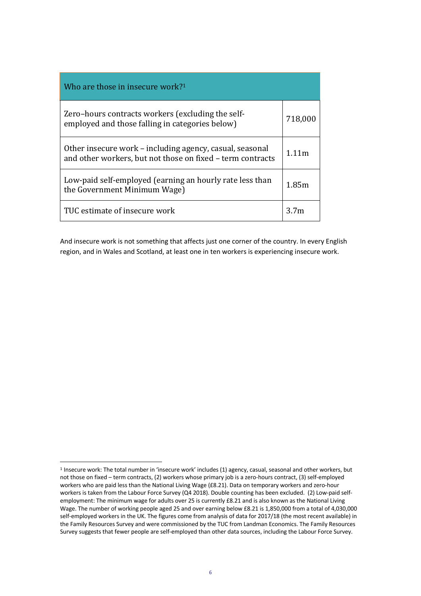| Who are those in insecure work? $1$                                                                                    |                  |
|------------------------------------------------------------------------------------------------------------------------|------------------|
| Zero-hours contracts workers (excluding the self-<br>employed and those falling in categories below)                   | 718,000          |
| Other insecure work - including agency, casual, seasonal<br>and other workers, but not those on fixed - term contracts |                  |
| Low-paid self-employed (earning an hourly rate less than<br>the Government Minimum Wage)                               |                  |
| TUC estimate of insecure work                                                                                          | 3.7 <sub>m</sub> |

And insecure work is not something that affects just one corner of the country. In every English region, and in Wales and Scotland, at least one in ten workers is experiencing insecure work.

<sup>1</sup> Insecure work: The total number in 'insecure work' includes (1) agency, casual, seasonal and other workers, but not those on fixed – term contracts, (2) workers whose primary job is a zero-hours contract, (3) self-employed workers who are paid less than the National Living Wage (£8.21). Data on temporary workers and zero-hour workers is taken from the Labour Force Survey (Q4 2018). Double counting has been excluded. (2) Low-paid selfemployment: The minimum wage for adults over 25 is currently £8.21 and is also known as the National Living Wage. The number of working people aged 25 and over earning below £8.21 is 1,850,000 from a total of 4,030,000 self-employed workers in the UK. The figures come from analysis of data for 2017/18 (the most recent available) in the Family Resources Survey and were commissioned by the TUC from Landman Economics. The Family Resources Survey suggests that fewer people are self-employed than other data sources, including the Labour Force Survey.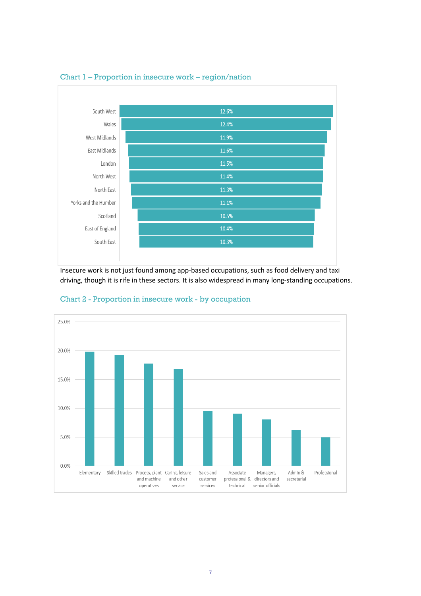

#### Chart 1 – Proportion in insecure work – region/nation

Insecure work is not just found among app-based occupations, such as food delivery and taxi driving, though it is rife in these sectors. It is also widespread in many long-standing occupations.



Chart 2 - Proportion in insecure work - by occupation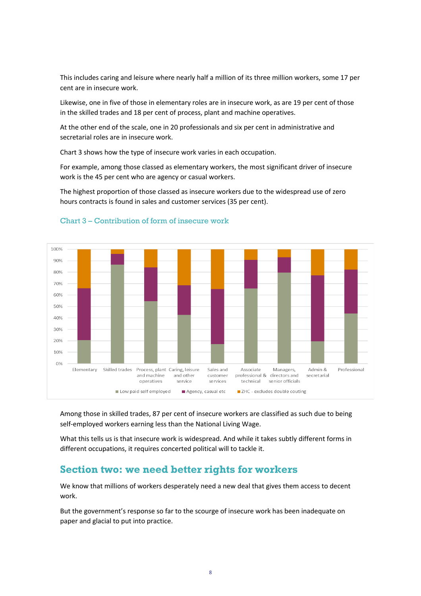This includes caring and leisure where nearly half a million of its three million workers, some 17 per cent are in insecure work.

Likewise, one in five of those in elementary roles are in insecure work, as are 19 per cent of those in the skilled trades and 18 per cent of process, plant and machine operatives.

At the other end of the scale, one in 20 professionals and six per cent in administrative and secretarial roles are in insecure work.

Chart 3 shows how the type of insecure work varies in each occupation.

For example, among those classed as elementary workers, the most significant driver of insecure work is the 45 per cent who are agency or casual workers.

The highest proportion of those classed as insecure workers due to the widespread use of zero hours contracts is found in sales and customer services (35 per cent).



#### Chart 3 – Contribution of form of insecure work

Among those in skilled trades, 87 per cent of insecure workers are classified as such due to being self-employed workers earning less than the National Living Wage.

What this tells us is that insecure work is widespread. And while it takes subtly different forms in different occupations, it requires concerted political will to tackle it.

## **Section two: we need better rights for workers**

We know that millions of workers desperately need a new deal that gives them access to decent work.

But the government's response so far to the scourge of insecure work has been inadequate on paper and glacial to put into practice.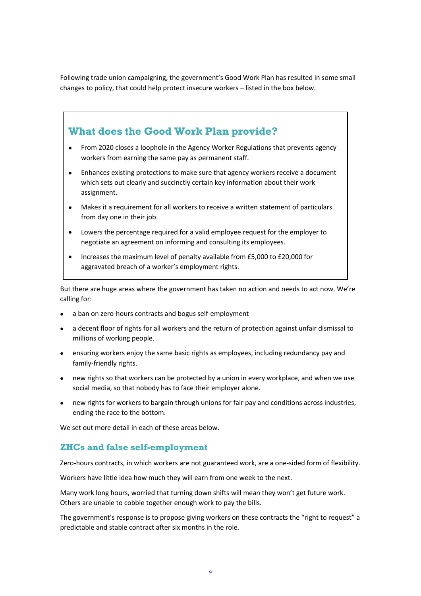Following trade union campaigning, the government's Good Work Plan has resulted in some small changes to policy, that could help protect insecure workers – listed in the box below.



- From 2020 close*s* a loophole in the Agency Worker Regulations that prevents agency workers from earning the same pay as permanent staff.
- Enhance*s* existing protections to make sure that agency workers receive a document which sets out clearly and succinctly certain key information about their work assignment.
- Make*s* it a requirement for all workers to receive a written statement of particulars from day one in their job.
- Lower*s* the percentage required for a valid employee request for the employer to negotiate an agreement on informing and consulting its employees.
- Increase*s* the maximum level of penalty available from £5,000 to £20,000 for aggravated breach of a worker's employment rights.

But there are huge areas where the government has taken no action and needs to act now. We're calling for:

- a ban on zero-hours contracts and bogus self-employment
- a decent floor of rights for all workers and the return of protection against unfair dismissal to millions of working people.
- ensuring workers enjoy the same basic rights as employees, including redundancy pay and family-friendly rights.
- new rights so that workers can be protected by a union in every workplace, and when we use social media, so that nobody has to face their employer alone.
- new rights for workers to bargain through unions for fair pay and conditions across industries, ending the race to the bottom.

We set out more detail in each of these areas below.

### **ZHCs and false self-employment**

Zero-hours contracts, in which workers are not guaranteed work, are a one-sided form of flexibility.

Workers have little idea how much they will earn from one week to the next.

Many work long hours, worried that turning down shifts will mean they won't get future work. Others are unable to cobble together enough work to pay the bills.

The government's response is to propose giving workers on these contracts the "right to request" a predictable and stable contract after six months in the role.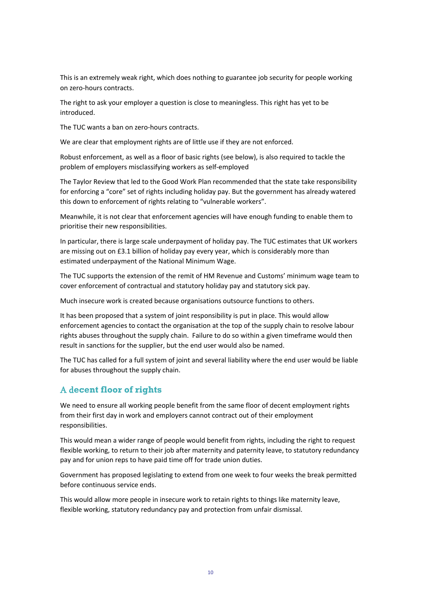This is an extremely weak right, which does nothing to guarantee job security for people working on zero-hours contracts.

The right to ask your employer a question is close to meaningless. This right has yet to be introduced.

The TUC wants a ban on zero-hours contracts.

We are clear that employment rights are of little use if they are not enforced.

Robust enforcement, as well as a floor of basic rights (see below), is also required to tackle the problem of employers misclassifying workers as self-employed

The Taylor Review that led to the Good Work Plan recommended that the state take responsibility for enforcing a "core" set of rights including holiday pay. But the government has already watered this down to enforcement of rights relating to "vulnerable workers".

Meanwhile, it is not clear that enforcement agencies will have enough funding to enable them to prioritise their new responsibilities.

In particular, there is large scale underpayment of holiday pay. The TUC estimates that UK workers are missing out on £3.1 billion of holiday pay every year, which is considerably more than estimated underpayment of the National Minimum Wage.

The TUC supports the extension of the remit of HM Revenue and Customs' minimum wage team to cover enforcement of contractual and statutory holiday pay and statutory sick pay.

Much insecure work is created because organisations outsource functions to others.

It has been proposed that a system of joint responsibility is put in place. This would allow enforcement agencies to contact the organisation at the top of the supply chain to resolve labour rights abuses throughout the supply chain. Failure to do so within a given timeframe would then result in sanctions for the supplier, but the end user would also be named.

The TUC has called for a full system of joint and several liability where the end user would be liable for abuses throughout the supply chain.

### A d**ecent floor of rights**

We need to ensure all working people benefit from the same floor of decent employment rights from their first day in work and employers cannot contract out of their employment responsibilities.

This would mean a wider range of people would benefit from rights, including the right to request flexible working, to return to their job after maternity and paternity leave, to statutory redundancy pay and for union reps to have paid time off for trade union duties.

Government has proposed legislating to extend from one week to four weeks the break permitted before continuous service ends.

This would allow more people in insecure work to retain rights to things like maternity leave, flexible working, statutory redundancy pay and protection from unfair dismissal.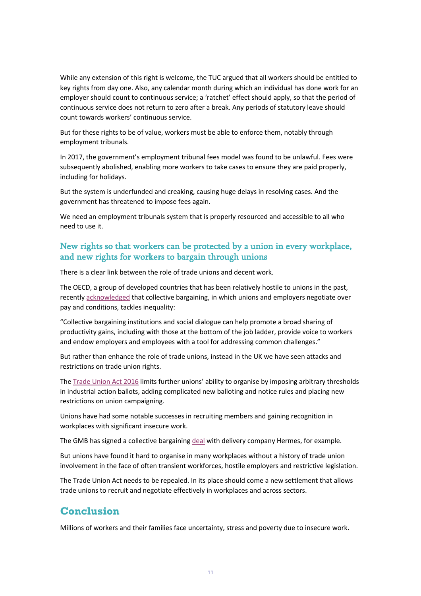While any extension of this right is welcome, the TUC argued that all workers should be entitled to key rights from day one. Also, any calendar month during which an individual has done work for an employer should count to continuous service; a 'ratchet' effect should apply, so that the period of continuous service does not return to zero after a break. Any periods of statutory leave should count towards workers' continuous service.

But for these rights to be of value, workers must be able to enforce them, notably through employment tribunals.

In 2017, the government's employment tribunal fees model was found to be unlawful. Fees were subsequently abolished, enabling more workers to take cases to ensure they are paid properly, including for holidays.

But the system is underfunded and creaking, causing huge delays in resolving cases. And the government has threatened to impose fees again.

We need an employment tribunals system that is properly resourced and accessible to all who need to use it.

### New rights so that workers can be protected by a union in every workplace, and new rights for workers to bargain through unions

There is a clear link between the role of trade unions and decent work.

The OECD, a group of developed countries that has been relatively hostile to unions in the past, recently acknowledged that collective bargaining, in which unions and employers negotiate over pay and conditions, tackles inequality:

"Collective bargaining institutions and social dialogue can help promote a broad sharing of productivity gains, including with those at the bottom of the job ladder, provide voice to workers and endow employers and employees with a tool for addressing common challenges."

But rather than enhance the role of trade unions, instead in the UK we have seen attacks and restrictions on trade union rights.

The Trade Union Act 2016 limits further unions' ability to organise by imposing arbitrary thresholds in industrial action ballots, adding complicated new balloting and notice rules and placing new restrictions on union campaigning.

Unions have had some notable successes in recruiting members and gaining recognition in workplaces with significant insecure work.

The GMB has signed a collective bargaining deal with delivery company Hermes, for example.

But unions have found it hard to organise in many workplaces without a history of trade union involvement in the face of often transient workforces, hostile employers and restrictive legislation.

The Trade Union Act needs to be repealed. In its place should come a new settlement that allows trade unions to recruit and negotiate effectively in workplaces and across sectors.

## **Conclusion**

Millions of workers and their families face uncertainty, stress and poverty due to insecure work.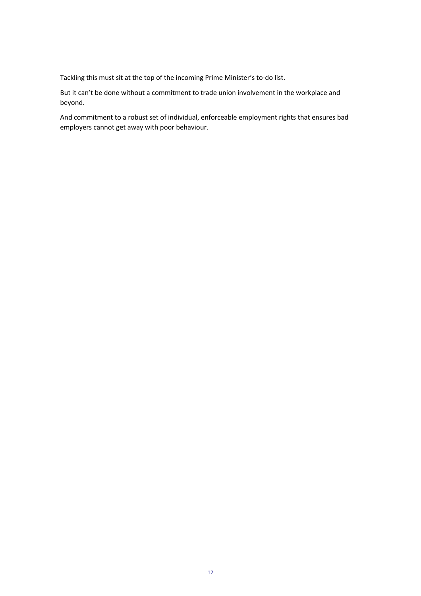Tackling this must sit at the top of the incoming Prime Minister's to-do list.

But it can't be done without a commitment to trade union involvement in the workplace and beyond.

And commitment to a robust set of individual, enforceable employment rights that ensures bad employers cannot get away with poor behaviour.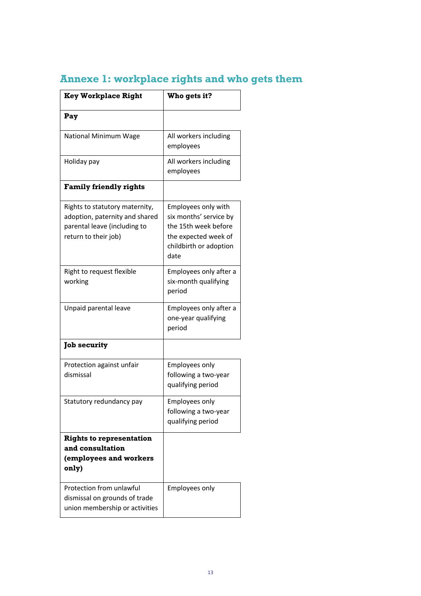| <b>Key Workplace Right</b>                                                                                               | Who gets it?                                                                                                                    |
|--------------------------------------------------------------------------------------------------------------------------|---------------------------------------------------------------------------------------------------------------------------------|
| Pay                                                                                                                      |                                                                                                                                 |
| National Minimum Wage                                                                                                    | All workers including<br>employees                                                                                              |
| Holiday pay                                                                                                              | All workers including<br>employees                                                                                              |
| <b>Family friendly rights</b>                                                                                            |                                                                                                                                 |
| Rights to statutory maternity,<br>adoption, paternity and shared<br>parental leave (including to<br>return to their job) | Employees only with<br>six months' service by<br>the 15th week before<br>the expected week of<br>childbirth or adoption<br>date |
| Right to request flexible<br>working                                                                                     | Employees only after a<br>six-month qualifying<br>period                                                                        |
| Unpaid parental leave                                                                                                    | Employees only after a<br>one-year qualifying<br>period                                                                         |
| <b>Job security</b>                                                                                                      |                                                                                                                                 |
| Protection against unfair<br>dismissal                                                                                   | Employees only<br>following a two-year<br>qualifying period                                                                     |
| Statutory redundancy pay                                                                                                 | Employees only<br>following a two-year<br>qualifying period                                                                     |
| <b>Rights to representation</b><br>and consultation<br>(employees and workers<br>only)                                   |                                                                                                                                 |
| Protection from unlawful<br>dismissal on grounds of trade<br>union membership or activities                              | Employees only                                                                                                                  |

# **Annexe 1: workplace rights and who gets them**